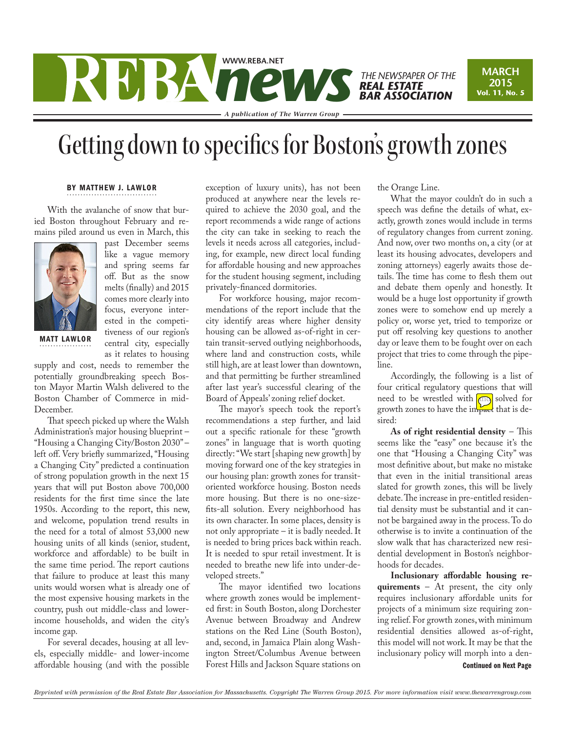## WWW.REBA.NET<br> *NEAL ESTATE*<br> *REAL ESTATE*<br> *REAL ESTATE*<br> *Angelien of the Warray Group* **THE NEWSPAPER OF THE<br><b>REAL ESTATE** *BAR ASSOCIATION*

*A publication of The Warren Group*

## Getting down to specifics for Boston's growth zones

## BY MATTHEW J. LAWLOR

With the avalanche of snow that buried Boston throughout February and remains piled around us even in March, this



MATT LAWLOR

off. But as the snow melts (finally) and 2015 comes more clearly into focus, everyone interested in the competitiveness of our region's central city, especially as it relates to housing

past December seems like a vague memory and spring seems far

supply and cost, needs to remember the potentially groundbreaking speech Boston Mayor Martin Walsh delivered to the Boston Chamber of Commerce in mid-December.

That speech picked up where the Walsh Administration's major housing blueprint – "Housing a Changing City/Boston 2030" – left off. Very briefly summarized, "Housing a Changing City" predicted a continuation of strong population growth in the next 15 years that will put Boston above 700,000 residents for the first time since the late 1950s. According to the report, this new, and welcome, population trend results in the need for a total of almost 53,000 new housing units of all kinds (senior, student, workforce and affordable) to be built in the same time period. The report cautions that failure to produce at least this many units would worsen what is already one of the most expensive housing markets in the country, push out middle-class and lowerincome households, and widen the city's income gap.

For several decades, housing at all levels, especially middle- and lower-income affordable housing (and with the possible exception of luxury units), has not been produced at anywhere near the levels required to achieve the 2030 goal, and the report recommends a wide range of actions the city can take in seeking to reach the levels it needs across all categories, including, for example, new direct local funding for affordable housing and new approaches for the student housing segment, including privately-financed dormitories.

For workforce housing, major recommendations of the report include that the city identify areas where higher density housing can be allowed as-of-right in certain transit-served outlying neighborhoods, where land and construction costs, while still high, are at least lower than downtown, and that permitting be further streamlined after last year's successful clearing of the Board of Appeals' zoning relief docket.

The mayor's speech took the report's recommendations a step further, and laid out a specific rationale for these "growth zones" in language that is worth quoting directly: "We start [shaping new growth] by moving forward one of the key strategies in our housing plan: growth zones for transitoriented workforce housing. Boston needs more housing. But there is no one-sizefits-all solution. Every neighborhood has its own character. In some places, density is not only appropriate – it is badly needed. It is needed to bring prices back within reach. It is needed to spur retail investment. It is needed to breathe new life into under-developed streets."

The mayor identified two locations where growth zones would be implemented first: in South Boston, along Dorchester Avenue between Broadway and Andrew stations on the Red Line (South Boston), and, second, in Jamaica Plain along Washington Street/Columbus Avenue between Forest Hills and Jackson Square stations on

the Orange Line.

What the mayor couldn't do in such a speech was define the details of what, exactly, growth zones would include in terms of regulatory changes from current zoning. And now, over two months on, a city (or at least its housing advocates, developers and zoning attorneys) eagerly awaits those details. The time has come to flesh them out and debate them openly and honestly. It would be a huge lost opportunity if growth zones were to somehow end up merely a policy or, worse yet, tried to temporize or put off resolving key questions to another day or leave them to be fought over on each project that tries to come through the pipeline.

**MARCH 2015 Vol. 11, No. 5**

Accordingly, the following is a list of four critical regulatory questions that will need to be wrestled with **and** solved for growth zones to have the impact that is desired:

**As of right residential density** – This seems like the "easy" one because it's the one that "Housing a Changing City" was most definitive about, but make no mistake that even in the initial transitional areas slated for growth zones, this will be lively debate. The increase in pre-entitled residential density must be substantial and it cannot be bargained away in the process. To do otherwise is to invite a continuation of the slow walk that has characterized new residential development in Boston's neighborhoods for decades.

**Inclusionary affordable housing requirements** – At present, the city only requires inclusionary affordable units for projects of a minimum size requiring zoning relief. For growth zones, with minimum residential densities allowed as-of-right, this model will not work. It may be that the inclusionary policy will morph into a den-Continued on Next Page